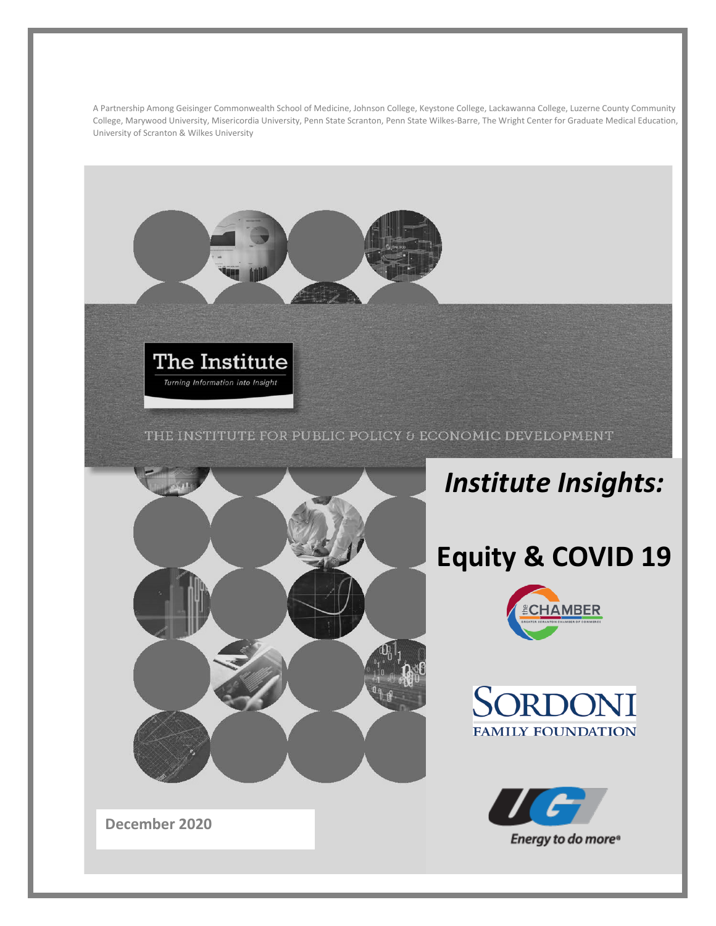A Partnership Among Geisinger Commonwealth School of Medicine, Johnson College, Keystone College, Lackawanna College, Luzerne County Community College, Marywood University, Misericordia University, Penn State Scranton, Penn State Wilkes-Barre, The Wright Center for Graduate Medical Education, University of Scranton & Wilkes University



### THE INSTITUTE FOR PUBLIC POLICY & ECONOMIC DEVELOPMENT



# *Institute Insights:*

# **Equity & COVID 19**







**December 2020**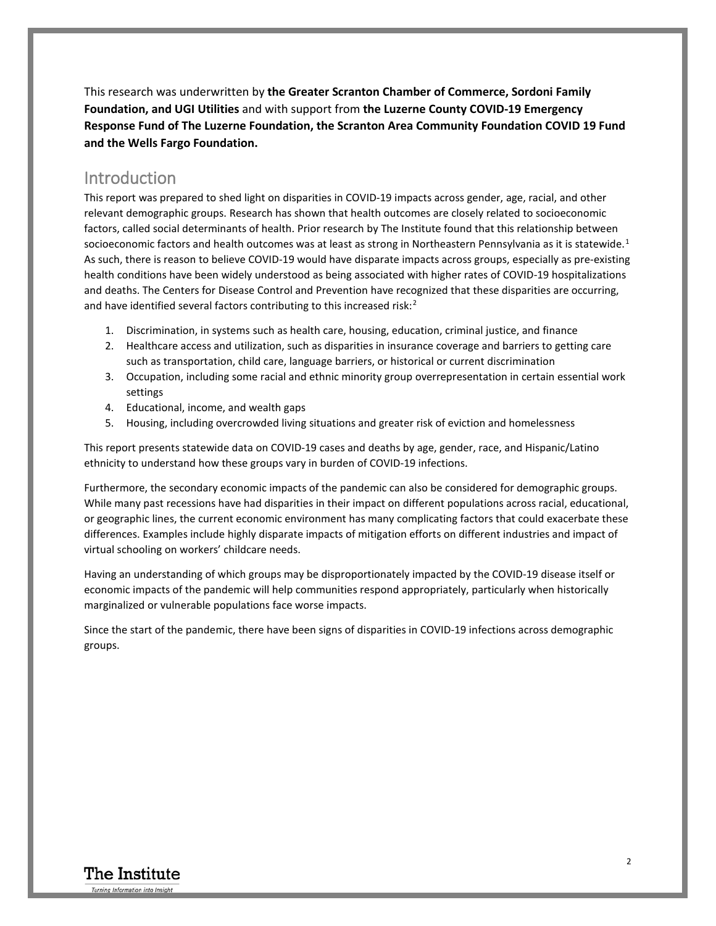This research was underwritten by **the Greater Scranton Chamber of Commerce, Sordoni Family Foundation, and UGI Utilities** and with support from **the Luzerne County COVID-19 Emergency Response Fund of The Luzerne Foundation, the Scranton Area Community Foundation COVID 19 Fund and the Wells Fargo Foundation.**

### Introduction

This report was prepared to shed light on disparities in COVID-19 impacts across gender, age, racial, and other relevant demographic groups. Research has shown that health outcomes are closely related to socioeconomic factors, called social determinants of health. Prior research by The Institute found that this relationship between socioeconomic factors and health outcomes was at least as strong in Northeastern Pennsylvania as it is statewide.<sup>[1](#page-10-0)</sup> As such, there is reason to believe COVID-19 would have disparate impacts across groups, especially as pre-existing health conditions have been widely understood as being associated with higher rates of COVID-19 hospitalizations and deaths. The Centers for Disease Control and Prevention have recognized that these disparities are occurring, and have identified several factors contributing to this increased risk:<sup>[2](#page-10-1)</sup>

- 1. Discrimination, in systems such as health care, housing, education, criminal justice, and finance
- 2. Healthcare access and utilization, such as disparities in insurance coverage and barriers to getting care such as transportation, child care, language barriers, or historical or current discrimination
- 3. Occupation, including some racial and ethnic minority group overrepresentation in certain essential work settings
- 4. Educational, income, and wealth gaps
- 5. Housing, including overcrowded living situations and greater risk of eviction and homelessness

This report presents statewide data on COVID-19 cases and deaths by age, gender, race, and Hispanic/Latino ethnicity to understand how these groups vary in burden of COVID-19 infections.

Furthermore, the secondary economic impacts of the pandemic can also be considered for demographic groups. While many past recessions have had disparities in their impact on different populations across racial, educational, or geographic lines, the current economic environment has many complicating factors that could exacerbate these differences. Examples include highly disparate impacts of mitigation efforts on different industries and impact of virtual schooling on workers' childcare needs.

Having an understanding of which groups may be disproportionately impacted by the COVID-19 disease itself or economic impacts of the pandemic will help communities respond appropriately, particularly when historically marginalized or vulnerable populations face worse impacts.

Since the start of the pandemic, there have been signs of disparities in COVID-19 infections across demographic groups.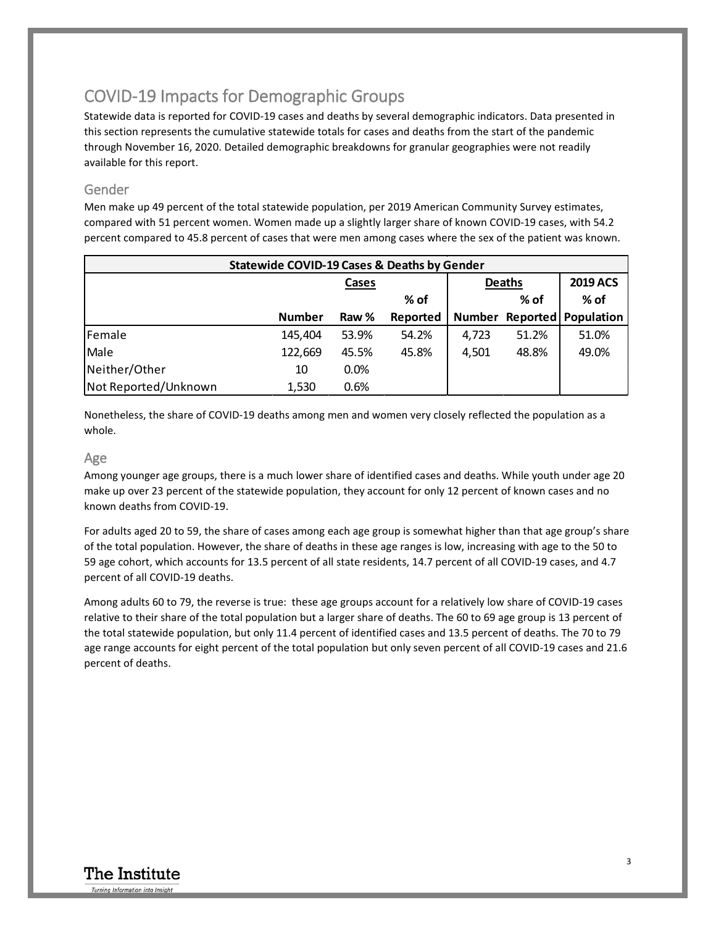## COVID-19 Impacts for Demographic Groups

Statewide data is reported for COVID-19 cases and deaths by several demographic indicators. Data presented in this section represents the cumulative statewide totals for cases and deaths from the start of the pandemic through November 16, 2020. Detailed demographic breakdowns for granular geographies were not readily available for this report.

### Gender

Men make up 49 percent of the total statewide population, per 2019 American Community Survey estimates, compared with 51 percent women. Women made up a slightly larger share of known COVID-19 cases, with 54.2 percent compared to 45.8 percent of cases that were men among cases where the sex of the patient was known.

| <b>Statewide COVID-19 Cases &amp; Deaths by Gender</b> |               |       |               |       |                 |                            |
|--------------------------------------------------------|---------------|-------|---------------|-------|-----------------|----------------------------|
|                                                        | Cases         |       | <b>Deaths</b> |       | <b>2019 ACS</b> |                            |
|                                                        |               |       | % of          |       | % of            | % of                       |
|                                                        | <b>Number</b> | Raw % | Reported      |       |                 | Number Reported Population |
| Female                                                 | 145,404       | 53.9% | 54.2%         | 4,723 | 51.2%           | 51.0%                      |
| Male                                                   | 122,669       | 45.5% | 45.8%         | 4,501 | 48.8%           | 49.0%                      |
| Neither/Other                                          | 10            | 0.0%  |               |       |                 |                            |
| Not Reported/Unknown                                   | 1,530         | 0.6%  |               |       |                 |                            |

Nonetheless, the share of COVID-19 deaths among men and women very closely reflected the population as a whole.

### Age

Among younger age groups, there is a much lower share of identified cases and deaths. While youth under age 20 make up over 23 percent of the statewide population, they account for only 12 percent of known cases and no known deaths from COVID-19.

For adults aged 20 to 59, the share of cases among each age group is somewhat higher than that age group's share of the total population. However, the share of deaths in these age ranges is low, increasing with age to the 50 to 59 age cohort, which accounts for 13.5 percent of all state residents, 14.7 percent of all COVID-19 cases, and 4.7 percent of all COVID-19 deaths.

Among adults 60 to 79, the reverse is true: these age groups account for a relatively low share of COVID-19 cases relative to their share of the total population but a larger share of deaths. The 60 to 69 age group is 13 percent of the total statewide population, but only 11.4 percent of identified cases and 13.5 percent of deaths. The 70 to 79 age range accounts for eight percent of the total population but only seven percent of all COVID-19 cases and 21.6 percent of deaths.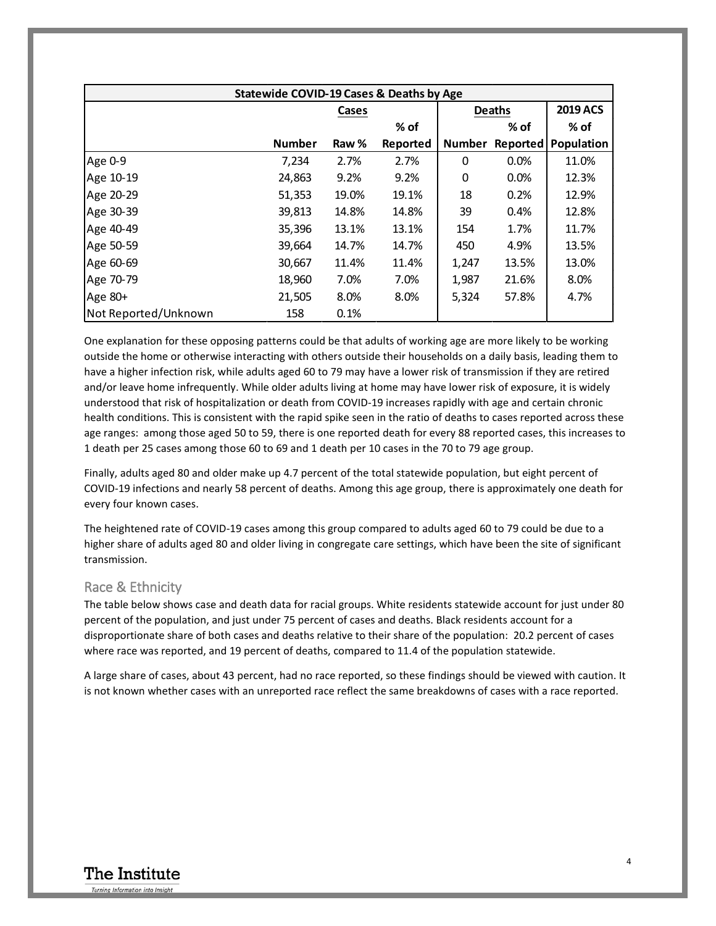| <b>Statewide COVID-19 Cases &amp; Deaths by Age</b> |               |       |          |               |                 |                 |
|-----------------------------------------------------|---------------|-------|----------|---------------|-----------------|-----------------|
|                                                     |               | Cases |          | <b>Deaths</b> |                 | <b>2019 ACS</b> |
|                                                     |               |       | % of     |               | $%$ of          | % of            |
|                                                     | <b>Number</b> | Raw % | Reported | <b>Number</b> | <b>Reported</b> | Population      |
| Age 0-9                                             | 7,234         | 2.7%  | 2.7%     | 0             | 0.0%            | 11.0%           |
| Age 10-19                                           | 24,863        | 9.2%  | 9.2%     | 0             | 0.0%            | 12.3%           |
| Age 20-29                                           | 51,353        | 19.0% | 19.1%    | 18            | 0.2%            | 12.9%           |
| Age 30-39                                           | 39,813        | 14.8% | 14.8%    | 39            | 0.4%            | 12.8%           |
| Age 40-49                                           | 35,396        | 13.1% | 13.1%    | 154           | 1.7%            | 11.7%           |
| Age 50-59                                           | 39,664        | 14.7% | 14.7%    | 450           | 4.9%            | 13.5%           |
| Age 60-69                                           | 30,667        | 11.4% | 11.4%    | 1,247         | 13.5%           | 13.0%           |
| Age 70-79                                           | 18,960        | 7.0%  | 7.0%     | 1,987         | 21.6%           | 8.0%            |
| Age $80+$                                           | 21,505        | 8.0%  | 8.0%     | 5,324         | 57.8%           | 4.7%            |
| Not Reported/Unknown                                | 158           | 0.1%  |          |               |                 |                 |

One explanation for these opposing patterns could be that adults of working age are more likely to be working outside the home or otherwise interacting with others outside their households on a daily basis, leading them to have a higher infection risk, while adults aged 60 to 79 may have a lower risk of transmission if they are retired and/or leave home infrequently. While older adults living at home may have lower risk of exposure, it is widely understood that risk of hospitalization or death from COVID-19 increases rapidly with age and certain chronic health conditions. This is consistent with the rapid spike seen in the ratio of deaths to cases reported across these age ranges: among those aged 50 to 59, there is one reported death for every 88 reported cases, this increases to 1 death per 25 cases among those 60 to 69 and 1 death per 10 cases in the 70 to 79 age group.

Finally, adults aged 80 and older make up 4.7 percent of the total statewide population, but eight percent of COVID-19 infections and nearly 58 percent of deaths. Among this age group, there is approximately one death for every four known cases.

The heightened rate of COVID-19 cases among this group compared to adults aged 60 to 79 could be due to a higher share of adults aged 80 and older living in congregate care settings, which have been the site of significant transmission.

#### Race & Ethnicity

The table below shows case and death data for racial groups. White residents statewide account for just under 80 percent of the population, and just under 75 percent of cases and deaths. Black residents account for a disproportionate share of both cases and deaths relative to their share of the population: 20.2 percent of cases where race was reported, and 19 percent of deaths, compared to 11.4 of the population statewide.

A large share of cases, about 43 percent, had no race reported, so these findings should be viewed with caution. It is not known whether cases with an unreported race reflect the same breakdowns of cases with a race reported.

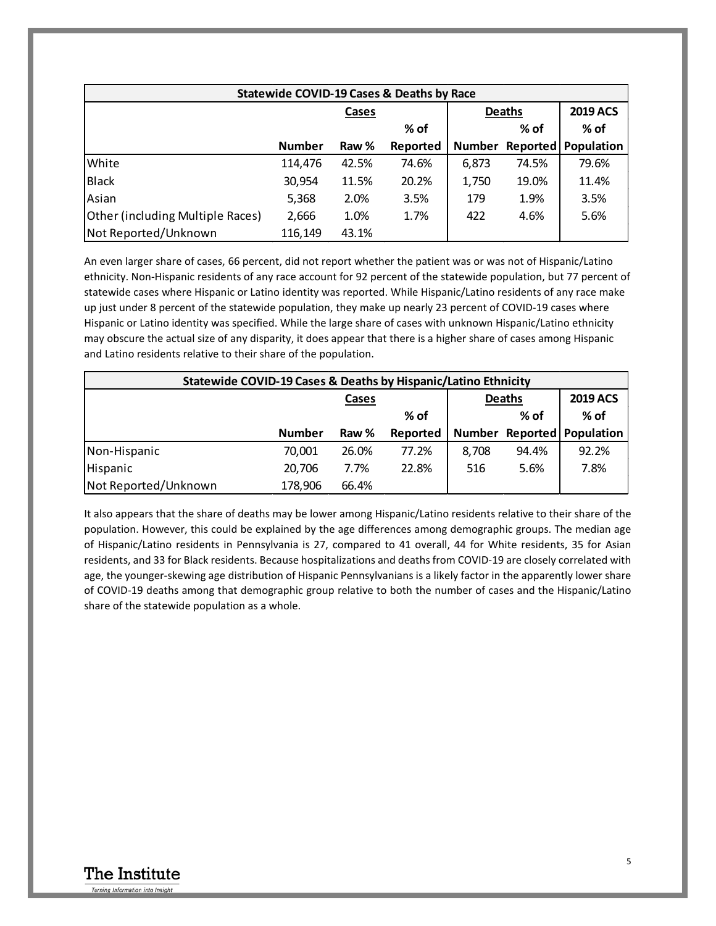| <b>Statewide COVID-19 Cases &amp; Deaths by Race</b> |               |       |          |               |          |                 |
|------------------------------------------------------|---------------|-------|----------|---------------|----------|-----------------|
|                                                      |               | Cases |          | <b>Deaths</b> |          | <b>2019 ACS</b> |
|                                                      |               |       | % of     |               | % of     | % of            |
|                                                      | <b>Number</b> | Raw % | Reported | <b>Number</b> | Reported | Population      |
| White                                                | 114,476       | 42.5% | 74.6%    | 6,873         | 74.5%    | 79.6%           |
| Black                                                | 30,954        | 11.5% | 20.2%    | 1,750         | 19.0%    | 11.4%           |
| Asian                                                | 5,368         | 2.0%  | 3.5%     | 179           | 1.9%     | 3.5%            |
| Other (including Multiple Races)                     | 2,666         | 1.0%  | 1.7%     | 422           | 4.6%     | 5.6%            |
| Not Reported/Unknown                                 | 116,149       | 43.1% |          |               |          |                 |

An even larger share of cases, 66 percent, did not report whether the patient was or was not of Hispanic/Latino ethnicity. Non-Hispanic residents of any race account for 92 percent of the statewide population, but 77 percent of statewide cases where Hispanic or Latino identity was reported. While Hispanic/Latino residents of any race make up just under 8 percent of the statewide population, they make up nearly 23 percent of COVID-19 cases where Hispanic or Latino identity was specified. While the large share of cases with unknown Hispanic/Latino ethnicity may obscure the actual size of any disparity, it does appear that there is a higher share of cases among Hispanic and Latino residents relative to their share of the population.

| Statewide COVID-19 Cases & Deaths by Hispanic/Latino Ethnicity |               |       |          |               |       |                            |  |
|----------------------------------------------------------------|---------------|-------|----------|---------------|-------|----------------------------|--|
|                                                                | Cases         |       |          | <b>Deaths</b> |       | <b>2019 ACS</b>            |  |
|                                                                |               |       | % of     |               | % of  | % of                       |  |
|                                                                | <b>Number</b> | Raw % | Reported |               |       | Number Reported Population |  |
| Non-Hispanic                                                   | 70,001        | 26.0% | 77.2%    | 8.708         | 94.4% | 92.2%                      |  |
| Hispanic                                                       | 20,706        | 7.7%  | 22.8%    | 516           | 5.6%  | 7.8%                       |  |
| Not Reported/Unknown                                           | 178,906       | 66.4% |          |               |       |                            |  |

It also appears that the share of deaths may be lower among Hispanic/Latino residents relative to their share of the population. However, this could be explained by the age differences among demographic groups. The median age of Hispanic/Latino residents in Pennsylvania is 27, compared to 41 overall, 44 for White residents, 35 for Asian residents, and 33 for Black residents. Because hospitalizations and deaths from COVID-19 are closely correlated with age, the younger-skewing age distribution of Hispanic Pennsylvanians is a likely factor in the apparently lower share of COVID-19 deaths among that demographic group relative to both the number of cases and the Hispanic/Latino share of the statewide population as a whole.

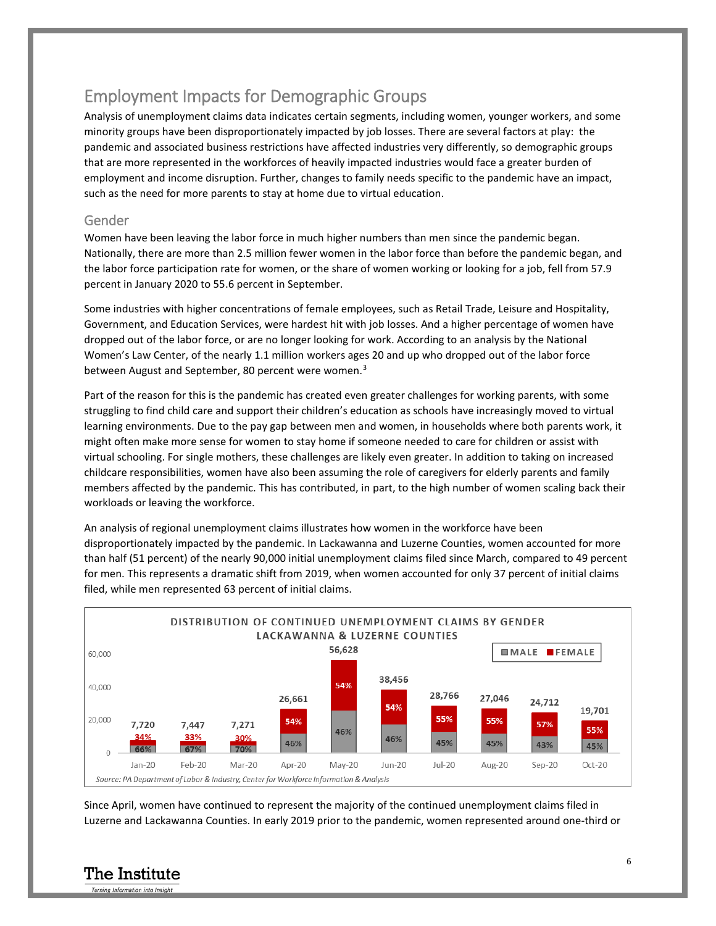## Employment Impacts for Demographic Groups

Analysis of unemployment claims data indicates certain segments, including women, younger workers, and some minority groups have been disproportionately impacted by job losses. There are several factors at play: the pandemic and associated business restrictions have affected industries very differently, so demographic groups that are more represented in the workforces of heavily impacted industries would face a greater burden of employment and income disruption. Further, changes to family needs specific to the pandemic have an impact, such as the need for more parents to stay at home due to virtual education.

### Gender

Women have been leaving the labor force in much higher numbers than men since the pandemic began. Nationally, there are more than 2.5 million fewer women in the labor force than before the pandemic began, and the labor force participation rate for women, or the share of women working or looking for a job, fell from 57.9 percent in January 2020 to 55.6 percent in September.

Some industries with higher concentrations of female employees, such as Retail Trade, Leisure and Hospitality, Government, and Education Services, were hardest hit with job losses. And a higher percentage of women have dropped out of the labor force, or are no longer looking for work. According to an analysis by the National Women's Law Center, of the nearly 1.1 million workers ages 20 and up who dropped out of the labor force between August and September, 80 percent were women.<sup>[3](#page-10-2)</sup>

Part of the reason for this is the pandemic has created even greater challenges for working parents, with some struggling to find child care and support their children's education as schools have increasingly moved to virtual learning environments. Due to the pay gap between men and women, in households where both parents work, it might often make more sense for women to stay home if someone needed to care for children or assist with virtual schooling. For single mothers, these challenges are likely even greater. In addition to taking on increased childcare responsibilities, women have also been assuming the role of caregivers for elderly parents and family members affected by the pandemic. This has contributed, in part, to the high number of women scaling back their workloads or leaving the workforce.

An analysis of regional unemployment claims illustrates how women in the workforce have been disproportionately impacted by the pandemic. In Lackawanna and Luzerne Counties, women accounted for more than half (51 percent) of the nearly 90,000 initial unemployment claims filed since March, compared to 49 percent for men. This represents a dramatic shift from 2019, when women accounted for only 37 percent of initial claims filed, while men represented 63 percent of initial claims.



Since April, women have continued to represent the majority of the continued unemployment claims filed in Luzerne and Lackawanna Counties. In early 2019 prior to the pandemic, women represented around one-third or

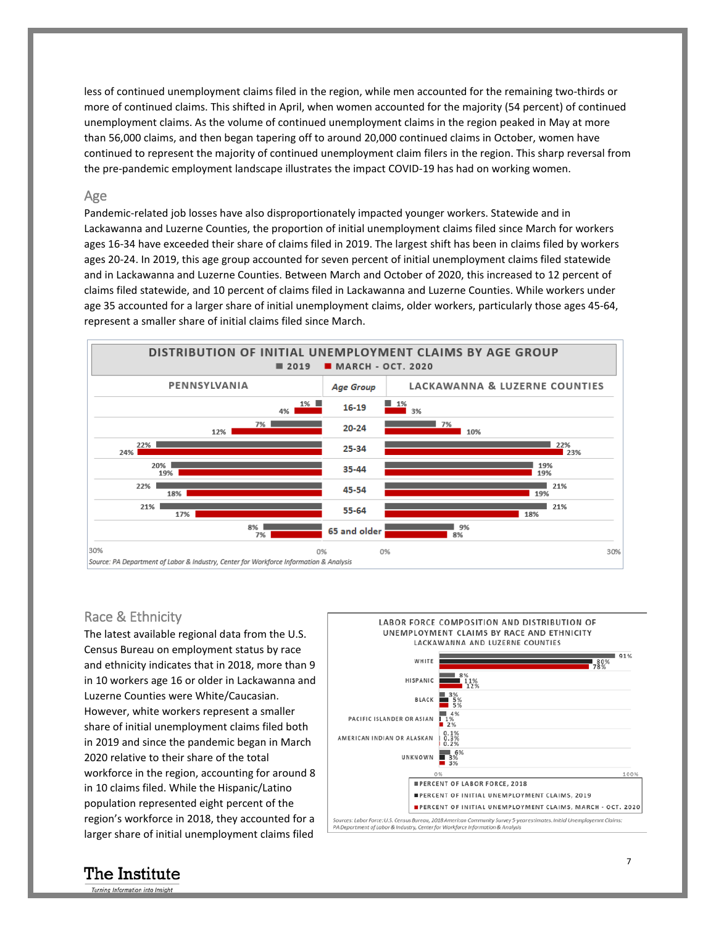less of continued unemployment claims filed in the region, while men accounted for the remaining two-thirds or more of continued claims. This shifted in April, when women accounted for the majority (54 percent) of continued unemployment claims. As the volume of continued unemployment claims in the region peaked in May at more than 56,000 claims, and then began tapering off to around 20,000 continued claims in October, women have continued to represent the majority of continued unemployment claim filers in the region. This sharp reversal from the pre-pandemic employment landscape illustrates the impact COVID-19 has had on working women.

#### Age

Pandemic-related job losses have also disproportionately impacted younger workers. Statewide and in Lackawanna and Luzerne Counties, the proportion of initial unemployment claims filed since March for workers ages 16-34 have exceeded their share of claims filed in 2019. The largest shift has been in claims filed by workers ages 20-24. In 2019, this age group accounted for seven percent of initial unemployment claims filed statewide and in Lackawanna and Luzerne Counties. Between March and October of 2020, this increased to 12 percent of claims filed statewide, and 10 percent of claims filed in Lackawanna and Luzerne Counties. While workers under age 35 accounted for a larger share of initial unemployment claims, older workers, particularly those ages 45-64, represent a smaller share of initial claims filed since March.



#### Race & Ethnicity

The latest available regional data from the U.S. Census Bureau on employment status by race and ethnicity indicates that in 2018, more than 9 in 10 workers age 16 or older in Lackawanna and Luzerne Counties were White/Caucasian. However, white workers represent a smaller share of initial unemployment claims filed both in 2019 and since the pandemic began in March 2020 relative to their share of the total workforce in the region, accounting for around 8 in 10 claims filed. While the Hispanic/Latino population represented eight percent of the region's workforce in 2018, they accounted for a larger share of initial unemployment claims filed



### The Institute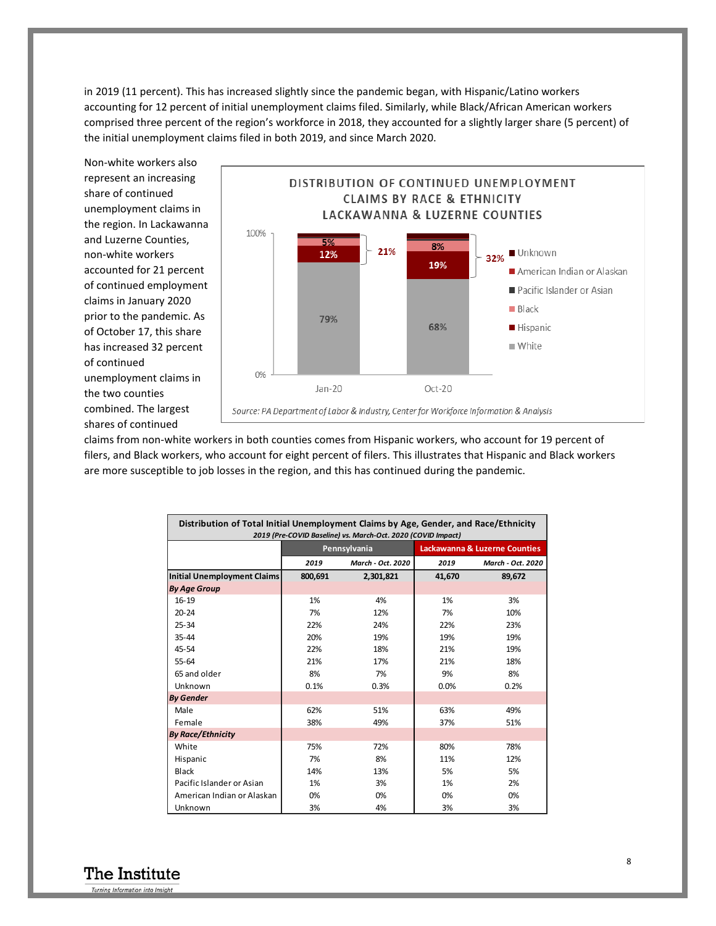in 2019 (11 percent). This has increased slightly since the pandemic began, with Hispanic/Latino workers accounting for 12 percent of initial unemployment claims filed. Similarly, while Black/African American workers comprised three percent of the region's workforce in 2018, they accounted for a slightly larger share (5 percent) of the initial unemployment claims filed in both 2019, and since March 2020.

Non-white workers also represent an increasing share of continued unemployment claims in the region. In Lackawanna and Luzerne Counties, non-white workers accounted for 21 percent of continued employment claims in January 2020 prior to the pandemic. As of October 17, this share has increased 32 percent of continued unemployment claims in the two counties combined. The largest shares of continued



claims from non-white workers in both counties comes from Hispanic workers, who account for 19 percent of filers, and Black workers, who account for eight percent of filers. This illustrates that Hispanic and Black workers are more susceptible to job losses in the region, and this has continued during the pandemic.

| Distribution of Total Initial Unemployment Claims by Age, Gender, and Race/Ethnicity<br>2019 (Pre-COVID Baseline) vs. March-Oct. 2020 (COVID Impact) |                           |           |                               |                   |  |  |
|------------------------------------------------------------------------------------------------------------------------------------------------------|---------------------------|-----------|-------------------------------|-------------------|--|--|
|                                                                                                                                                      | Pennsylvania              |           | Lackawanna & Luzerne Counties |                   |  |  |
|                                                                                                                                                      | 2019<br>March - Oct. 2020 |           | 2019                          | March - Oct. 2020 |  |  |
| Initial Unemployment Claims                                                                                                                          | 800,691                   | 2,301,821 | 41,670                        | 89,672            |  |  |
| <b>By Age Group</b>                                                                                                                                  |                           |           |                               |                   |  |  |
| 16-19                                                                                                                                                | 1%                        | 4%        | 1%                            | 3%                |  |  |
| $20 - 24$                                                                                                                                            | 7%                        | 12%       | 7%                            | 10%               |  |  |
| $25 - 34$                                                                                                                                            | 22%                       | 24%       | 22%                           | 23%               |  |  |
| $35 - 44$                                                                                                                                            | 20%                       | 19%       | 19%                           | 19%               |  |  |
| 45-54                                                                                                                                                | 22%                       | 18%       | 21%                           | 19%               |  |  |
| $55 - 64$                                                                                                                                            | 21%                       | 17%       | 21%                           | 18%               |  |  |
| 65 and older                                                                                                                                         | 8%                        | 7%        | 9%                            | 8%                |  |  |
| Unknown                                                                                                                                              | 0.1%                      | 0.3%      | 0.0%                          | 0.2%              |  |  |
| <b>By Gender</b>                                                                                                                                     |                           |           |                               |                   |  |  |
| Male                                                                                                                                                 | 62%                       | 51%       | 63%                           | 49%               |  |  |
| Female                                                                                                                                               | 38%                       | 49%       | 37%                           | 51%               |  |  |
| <b>By Race/Ethnicity</b>                                                                                                                             |                           |           |                               |                   |  |  |
| White                                                                                                                                                | 75%                       | 72%       | 80%                           | 78%               |  |  |
| Hispanic                                                                                                                                             | 7%                        | 8%        | 11%                           | 12%               |  |  |
| Black                                                                                                                                                | 14%                       | 13%       | 5%                            | 5%                |  |  |
| Pacific Islander or Asian                                                                                                                            | 1%                        | 3%        | 1%                            | 2%                |  |  |
| American Indian or Alaskan                                                                                                                           | 0%                        | 0%        | 0%                            | 0%                |  |  |
| Unknown                                                                                                                                              | 3%                        | 4%        | 3%                            | 3%                |  |  |

The Institute Turning Information into Insight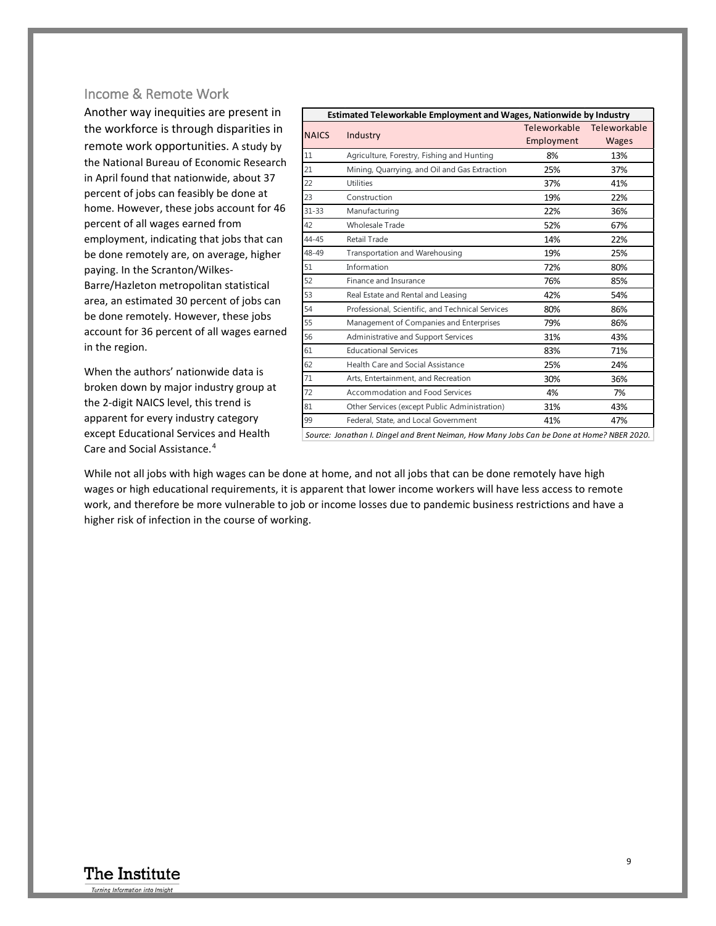### Income & Remote Work

Another way inequities are present in the workforce is through disparities in remote work opportunities. A study by the National Bureau of Economic Research in April found that nationwide, about 37 percent of jobs can feasibly be done at home. However, these jobs account for 46 percent of all wages earned from employment, indicating that jobs that can be done remotely are, on average, higher paying. In the Scranton/Wilkes-Barre/Hazleton metropolitan statistical area, an estimated 30 percent of jobs can be done remotely. However, these jobs account for 36 percent of all wages earned in the region.

When the authors' nationwide data is broken down by major industry group at the 2-digit NAICS level, this trend is apparent for every industry category except Educational Services and Health Care and Social Assistance.[4](#page-10-3)

| Estimated Teleworkable Employment and Wages, Nationwide by Industry<br>Teleworkable<br>Teleworkable |                                                  |            |              |  |  |  |  |
|-----------------------------------------------------------------------------------------------------|--------------------------------------------------|------------|--------------|--|--|--|--|
| <b>NAICS</b>                                                                                        | Industry                                         | Employment |              |  |  |  |  |
|                                                                                                     |                                                  |            | <b>Wages</b> |  |  |  |  |
| 11                                                                                                  | Agriculture, Forestry, Fishing and Hunting       | 8%         | 13%          |  |  |  |  |
| 21                                                                                                  | Mining, Quarrying, and Oil and Gas Extraction    | 25%        | 37%          |  |  |  |  |
| 22                                                                                                  | <b>Utilities</b>                                 | 37%        | 41%          |  |  |  |  |
| 23                                                                                                  | Construction                                     | 19%        | 22%          |  |  |  |  |
| $31 - 33$                                                                                           | Manufacturing                                    | 22%        | 36%          |  |  |  |  |
| 42                                                                                                  | Wholesale Trade                                  | 52%        | 67%          |  |  |  |  |
| 44-45                                                                                               | Retail Trade                                     | 14%        | 22%          |  |  |  |  |
| 48-49                                                                                               | Transportation and Warehousing                   | 19%        | 25%          |  |  |  |  |
| 51                                                                                                  | Information                                      | 72%        | 80%          |  |  |  |  |
| 52                                                                                                  | Finance and Insurance                            | 76%        | 85%          |  |  |  |  |
| 53                                                                                                  | Real Estate and Rental and Leasing               | 42%        | 54%          |  |  |  |  |
| 54                                                                                                  | Professional, Scientific, and Technical Services | 80%        | 86%          |  |  |  |  |
| 55                                                                                                  | Management of Companies and Enterprises          | 79%        | 86%          |  |  |  |  |
| 56                                                                                                  | Administrative and Support Services              | 31%        | 43%          |  |  |  |  |
| 61                                                                                                  | <b>Educational Services</b>                      | 83%        | 71%          |  |  |  |  |
| 62                                                                                                  | <b>Health Care and Social Assistance</b>         | 25%        | 24%          |  |  |  |  |
| 71                                                                                                  | Arts, Entertainment, and Recreation              | 30%        | 36%          |  |  |  |  |
| 72                                                                                                  | Accommodation and Food Services                  | 4%         | 7%           |  |  |  |  |
| 81                                                                                                  | Other Services (except Public Administration)    | 31%        | 43%          |  |  |  |  |
| 99                                                                                                  | Federal, State, and Local Government             | 41%        | 47%          |  |  |  |  |

While not all jobs with high wages can be done at home, and not all jobs that can be done remotely have high wages or high educational requirements, it is apparent that lower income workers will have less access to remote work, and therefore be more vulnerable to job or income losses due to pandemic business restrictions and have a higher risk of infection in the course of working.



9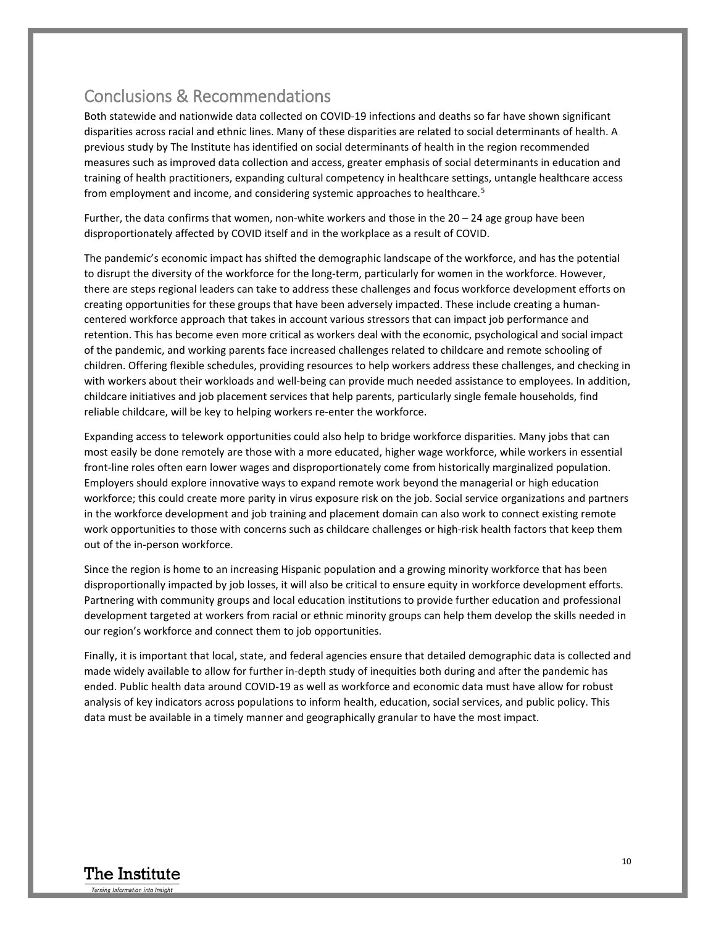### Conclusions & Recommendations

Both statewide and nationwide data collected on COVID-19 infections and deaths so far have shown significant disparities across racial and ethnic lines. Many of these disparities are related to social determinants of health. A previous study by The Institute has identified on social determinants of health in the region recommended measures such as improved data collection and access, greater emphasis of social determinants in education and training of health practitioners, expanding cultural competency in healthcare settings, untangle healthcare access from employment and income, and considering systemic approaches to healthcare.[5](#page-10-4)

Further, the data confirms that women, non-white workers and those in the 20 – 24 age group have been disproportionately affected by COVID itself and in the workplace as a result of COVID.

The pandemic's economic impact has shifted the demographic landscape of the workforce, and has the potential to disrupt the diversity of the workforce for the long-term, particularly for women in the workforce. However, there are steps regional leaders can take to address these challenges and focus workforce development efforts on creating opportunities for these groups that have been adversely impacted. These include creating a humancentered workforce approach that takes in account various stressors that can impact job performance and retention. This has become even more critical as workers deal with the economic, psychological and social impact of the pandemic, and working parents face increased challenges related to childcare and remote schooling of children. Offering flexible schedules, providing resources to help workers address these challenges, and checking in with workers about their workloads and well-being can provide much needed assistance to employees. In addition, childcare initiatives and job placement services that help parents, particularly single female households, find reliable childcare, will be key to helping workers re-enter the workforce.

Expanding access to telework opportunities could also help to bridge workforce disparities. Many jobs that can most easily be done remotely are those with a more educated, higher wage workforce, while workers in essential front-line roles often earn lower wages and disproportionately come from historically marginalized population. Employers should explore innovative ways to expand remote work beyond the managerial or high education workforce; this could create more parity in virus exposure risk on the job. Social service organizations and partners in the workforce development and job training and placement domain can also work to connect existing remote work opportunities to those with concerns such as childcare challenges or high-risk health factors that keep them out of the in-person workforce.

Since the region is home to an increasing Hispanic population and a growing minority workforce that has been disproportionally impacted by job losses, it will also be critical to ensure equity in workforce development efforts. Partnering with community groups and local education institutions to provide further education and professional development targeted at workers from racial or ethnic minority groups can help them develop the skills needed in our region's workforce and connect them to job opportunities.

Finally, it is important that local, state, and federal agencies ensure that detailed demographic data is collected and made widely available to allow for further in-depth study of inequities both during and after the pandemic has ended. Public health data around COVID-19 as well as workforce and economic data must have allow for robust analysis of key indicators across populations to inform health, education, social services, and public policy. This data must be available in a timely manner and geographically granular to have the most impact.